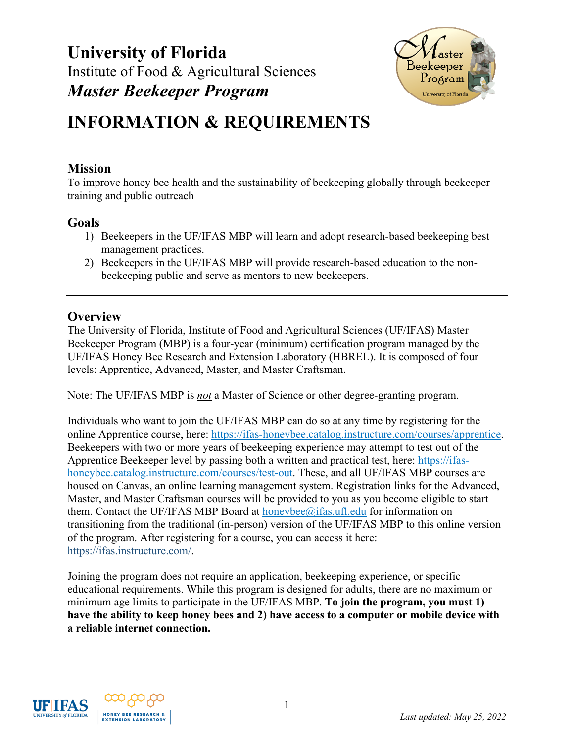

# **INFORMATION & REQUIREMENTS**

## **Mission**

To improve honey bee health and the sustainability of beekeeping globally through beekeeper training and public outreach

## **Goals**

- 1) Beekeepers in the UF/IFAS MBP will learn and adopt research-based beekeeping best management practices.
- 2) Beekeepers in the UF/IFAS MBP will provide research-based education to the nonbeekeeping public and serve as mentors to new beekeepers.

## **Overview**

The University of Florida, Institute of Food and Agricultural Sciences (UF/IFAS) Master Beekeeper Program (MBP) is a four-year (minimum) certification program managed by the UF/IFAS Honey Bee Research and Extension Laboratory (HBREL). It is composed of four levels: Apprentice, Advanced, Master, and Master Craftsman.

Note: The UF/IFAS MBP is *not* a Master of Science or other degree-granting program.

Individuals who want to join the UF/IFAS MBP can do so at any time by registering for the online Apprentice course, here: [https://ifas-honeybee.catalog.instructure.com/courses/apprentice.](https://ifas-honeybee.catalog.instructure.com/courses/apprentice) Beekeepers with two or more years of beekeeping experience may attempt to test out of the Apprentice Beekeeper level by passing both a written and practical test, here: [https://ifas](https://ifas-honeybee.catalog.instructure.com/courses/test-out)[honeybee.catalog.instructure.com/courses/test-out.](https://ifas-honeybee.catalog.instructure.com/courses/test-out) These, and all UF/IFAS MBP courses are housed on Canvas, an online learning management system. Registration links for the Advanced, Master, and Master Craftsman courses will be provided to you as you become eligible to start them. Contact the UF/IFAS MBP Board at [honeybee@ifas.ufl.edu](mailto:honeybee@ifas.ufl.edu) for information on transitioning from the traditional (in-person) version of the UF/IFAS MBP to this online version of the program. After registering for a course, you can access it here: [https://ifas.instructure.com/.](https://ifas.instructure.com/)

Joining the program does not require an application, beekeeping experience, or specific educational requirements. While this program is designed for adults, there are no maximum or minimum age limits to participate in the UF/IFAS MBP. **To join the program, you must 1) have the ability to keep honey bees and 2) have access to a computer or mobile device with a reliable internet connection.**

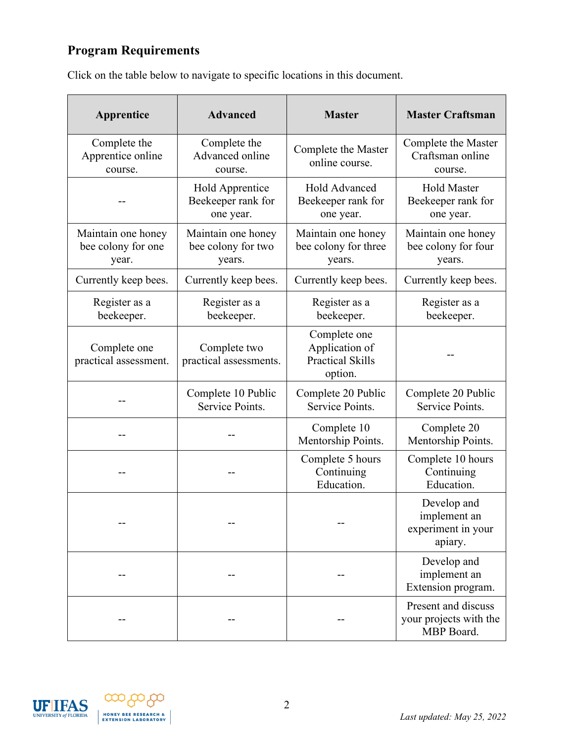## **Program Requirements**

| Apprentice                                        | <b>Advanced</b>                                    | <b>Master</b>                                                        | <b>Master Craftsman</b>                                      |
|---------------------------------------------------|----------------------------------------------------|----------------------------------------------------------------------|--------------------------------------------------------------|
| Complete the<br>Apprentice online<br>course.      | Complete the<br>Advanced online<br>course.         | Complete the Master<br>online course.                                | Complete the Master<br>Craftsman online<br>course.           |
| --                                                | Hold Apprentice<br>Beekeeper rank for<br>one year. | <b>Hold Advanced</b><br>Beekeeper rank for<br>one year.              | <b>Hold Master</b><br>Beekeeper rank for<br>one year.        |
| Maintain one honey<br>bee colony for one<br>year. | Maintain one honey<br>bee colony for two<br>years. | Maintain one honey<br>bee colony for three<br>years.                 | Maintain one honey<br>bee colony for four<br>years.          |
| Currently keep bees.                              | Currently keep bees.                               | Currently keep bees.                                                 | Currently keep bees.                                         |
| Register as a<br>beekeeper.                       | Register as a<br>beekeeper.                        | Register as a<br>beekeeper.                                          | Register as a<br>beekeeper.                                  |
| Complete one<br>practical assessment.             | Complete two<br>practical assessments.             | Complete one<br>Application of<br><b>Practical Skills</b><br>option. |                                                              |
|                                                   | Complete 10 Public<br>Service Points.              | Complete 20 Public<br>Service Points.                                | Complete 20 Public<br>Service Points.                        |
|                                                   |                                                    | Complete 10<br>Mentorship Points.                                    | Complete 20<br>Mentorship Points.                            |
|                                                   |                                                    | Complete 5 hours<br>Continuing<br>Education.                         | Complete 10 hours<br>Continuing<br>Education.                |
|                                                   |                                                    |                                                                      | Develop and<br>implement an<br>experiment in your<br>apiary. |
|                                                   |                                                    |                                                                      | Develop and<br>implement an<br>Extension program.            |
|                                                   |                                                    |                                                                      | Present and discuss<br>your projects with the<br>MBP Board.  |

Click on the table below to navigate to specific locations in this document.



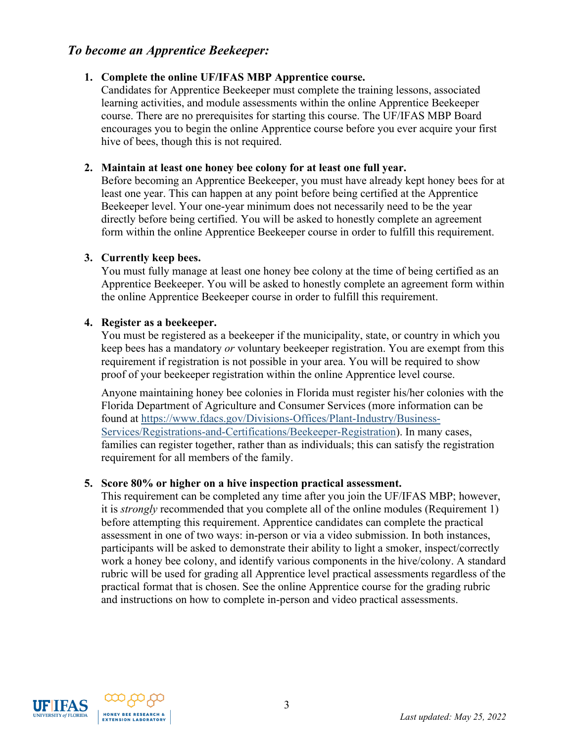## *To become an Apprentice Beekeeper:*

#### <span id="page-2-0"></span>**1. Complete the online UF/IFAS MBP Apprentice course.**

Candidates for Apprentice Beekeeper must complete the training lessons, associated learning activities, and module assessments within the online Apprentice Beekeeper course. There are no prerequisites for starting this course. The UF/IFAS MBP Board encourages you to begin the online Apprentice course before you ever acquire your first hive of bees, though this is not required.

#### <span id="page-2-1"></span>**2. Maintain at least one honey bee colony for at least one full year.**

Before becoming an Apprentice Beekeeper, you must have already kept honey bees for at least one year. This can happen at any point before being certified at the Apprentice Beekeeper level. Your one-year minimum does not necessarily need to be the year directly before being certified. You will be asked to honestly complete an agreement form within the online Apprentice Beekeeper course in order to fulfill this requirement.

#### <span id="page-2-2"></span>**3. Currently keep bees.**

You must fully manage at least one honey bee colony at the time of being certified as an Apprentice Beekeeper. You will be asked to honestly complete an agreement form within the online Apprentice Beekeeper course in order to fulfill this requirement.

#### <span id="page-2-3"></span>**4. Register as a beekeeper.**

You must be registered as a beekeeper if the municipality, state, or country in which you keep bees has a mandatory *or* voluntary beekeeper registration. You are exempt from this requirement if registration is not possible in your area. You will be required to show proof of your beekeeper registration within the online Apprentice level course.

Anyone maintaining honey bee colonies in Florida must register his/her colonies with the Florida Department of Agriculture and Consumer Services (more information can be found at https://www.fdacs.gov/Divisions-Offices/Plant-Industry/Business-Services/Registrations-and-Certifications/Beekeeper-Registration). In many cases, families can register together, rather than as individuals; this can satisfy the registration requirement for all members of the family.

#### <span id="page-2-4"></span>**5. Score 80% or higher on a hive inspection practical assessment.**

This requirement can be completed any time after you join the UF/IFAS MBP; however, it is *strongly* recommended that you complete all of the online modules (Requirement 1) before attempting this requirement. Apprentice candidates can complete the practical assessment in one of two ways: in-person or via a video submission. In both instances, participants will be asked to demonstrate their ability to light a smoker, inspect/correctly work a honey bee colony, and identify various components in the hive/colony. A standard rubric will be used for grading all Apprentice level practical assessments regardless of the practical format that is chosen. See the online Apprentice course for the grading rubric and instructions on how to complete in-person and video practical assessments.



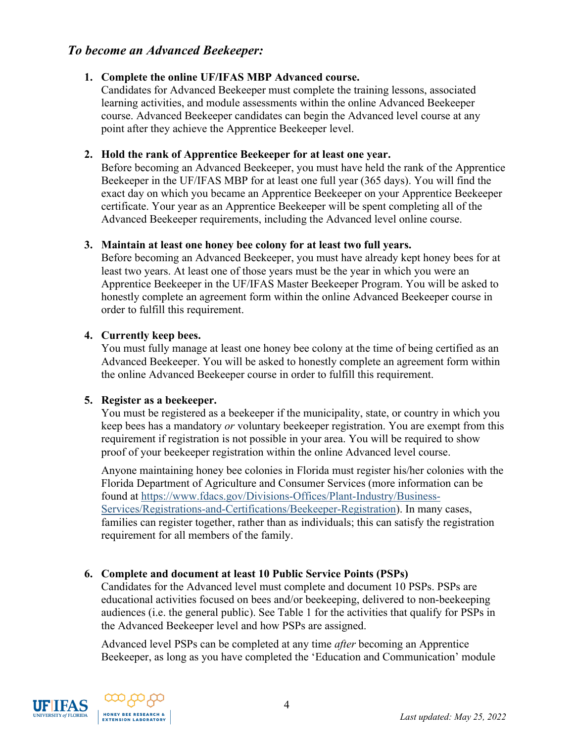## *To become an Advanced Beekeeper:*

#### <span id="page-3-0"></span>**1. Complete the online UF/IFAS MBP Advanced course.**

Candidates for Advanced Beekeeper must complete the training lessons, associated learning activities, and module assessments within the online Advanced Beekeeper course. Advanced Beekeeper candidates can begin the Advanced level course at any point after they achieve the Apprentice Beekeeper level.

#### <span id="page-3-1"></span>**2. Hold the rank of Apprentice Beekeeper for at least one year.**

Before becoming an Advanced Beekeeper, you must have held the rank of the Apprentice Beekeeper in the UF/IFAS MBP for at least one full year (365 days). You will find the exact day on which you became an Apprentice Beekeeper on your Apprentice Beekeeper certificate. Your year as an Apprentice Beekeeper will be spent completing all of the Advanced Beekeeper requirements, including the Advanced level online course.

#### <span id="page-3-2"></span>**3. Maintain at least one honey bee colony for at least two full years.**

Before becoming an Advanced Beekeeper, you must have already kept honey bees for at least two years. At least one of those years must be the year in which you were an Apprentice Beekeeper in the UF/IFAS Master Beekeeper Program. You will be asked to honestly complete an agreement form within the online Advanced Beekeeper course in order to fulfill this requirement.

#### <span id="page-3-3"></span>**4. Currently keep bees.**

You must fully manage at least one honey bee colony at the time of being certified as an Advanced Beekeeper. You will be asked to honestly complete an agreement form within the online Advanced Beekeeper course in order to fulfill this requirement.

#### <span id="page-3-4"></span>**5. Register as a beekeeper.**

You must be registered as a beekeeper if the municipality, state, or country in which you keep bees has a mandatory *or* voluntary beekeeper registration. You are exempt from this requirement if registration is not possible in your area. You will be required to show proof of your beekeeper registration within the online Advanced level course.

Anyone maintaining honey bee colonies in Florida must register his/her colonies with the Florida Department of Agriculture and Consumer Services (more information can be found at https://www.fdacs.gov/Divisions-Offices/Plant-Industry/Business-Services/Registrations-and-Certifications/Beekeeper-Registration). In many cases, families can register together, rather than as individuals; this can satisfy the registration requirement for all members of the family.

#### <span id="page-3-5"></span>**6. Complete and document at least 10 Public Service Points (PSPs)**

Candidates for the Advanced level must complete and document 10 PSPs. PSPs are educational activities focused on bees and/or beekeeping, delivered to non-beekeeping audiences (i.e. the general public). See Table 1 for the activities that qualify for PSPs in the Advanced Beekeeper level and how PSPs are assigned.

Advanced level PSPs can be completed at any time *after* becoming an Apprentice Beekeeper, as long as you have completed the 'Education and Communication' module



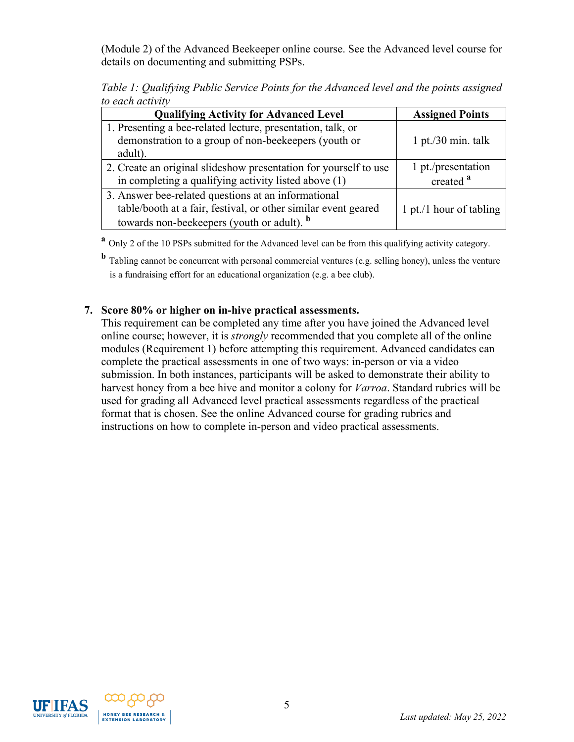(Module 2) of the Advanced Beekeeper online course. See the Advanced level course for details on documenting and submitting PSPs.

*Table 1: Qualifying Public Service Points for the Advanced level and the points assigned to each activity*

| <b>Qualifying Activity for Advanced Level</b>                    | <b>Assigned Points</b>  |
|------------------------------------------------------------------|-------------------------|
| 1. Presenting a bee-related lecture, presentation, talk, or      |                         |
| demonstration to a group of non-beekeepers (youth or             | $1$ pt./30 min. talk    |
| adult).                                                          |                         |
| 2. Create an original slideshow presentation for yourself to use | 1 pt./presentation      |
| in completing a qualifying activity listed above (1)             | created <sup>a</sup>    |
| 3. Answer bee-related questions at an informational              |                         |
| table/booth at a fair, festival, or other similar event geared   | 1 pt./1 hour of tabling |
| towards non-beekeepers (youth or adult). <b>b</b>                |                         |

**<sup>a</sup>** Only 2 of the 10 PSPs submitted for the Advanced level can be from this qualifying activity category.

**<sup>b</sup>** Tabling cannot be concurrent with personal commercial ventures (e.g. selling honey), unless the venture is a fundraising effort for an educational organization (e.g. a bee club).

#### <span id="page-4-0"></span>**7. Score 80% or higher on in-hive practical assessments.**

This requirement can be completed any time after you have joined the Advanced level online course; however, it is *strongly* recommended that you complete all of the online modules (Requirement 1) before attempting this requirement. Advanced candidates can complete the practical assessments in one of two ways: in-person or via a video submission. In both instances, participants will be asked to demonstrate their ability to harvest honey from a bee hive and monitor a colony for *Varroa*. Standard rubrics will be used for grading all Advanced level practical assessments regardless of the practical format that is chosen. See the online Advanced course for grading rubrics and instructions on how to complete in-person and video practical assessments.



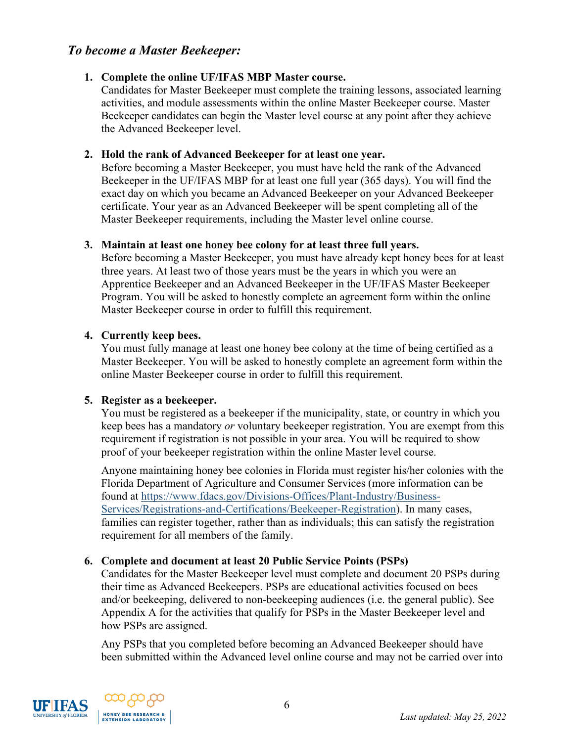## *To become a Master Beekeeper:*

#### <span id="page-5-0"></span>**1. Complete the online UF/IFAS MBP Master course.**

Candidates for Master Beekeeper must complete the training lessons, associated learning activities, and module assessments within the online Master Beekeeper course. Master Beekeeper candidates can begin the Master level course at any point after they achieve the Advanced Beekeeper level.

#### <span id="page-5-1"></span>**2. Hold the rank of Advanced Beekeeper for at least one year.**

Before becoming a Master Beekeeper, you must have held the rank of the Advanced Beekeeper in the UF/IFAS MBP for at least one full year (365 days). You will find the exact day on which you became an Advanced Beekeeper on your Advanced Beekeeper certificate. Your year as an Advanced Beekeeper will be spent completing all of the Master Beekeeper requirements, including the Master level online course.

#### <span id="page-5-2"></span>**3. Maintain at least one honey bee colony for at least three full years.**

Before becoming a Master Beekeeper, you must have already kept honey bees for at least three years. At least two of those years must be the years in which you were an Apprentice Beekeeper and an Advanced Beekeeper in the UF/IFAS Master Beekeeper Program. You will be asked to honestly complete an agreement form within the online Master Beekeeper course in order to fulfill this requirement.

#### <span id="page-5-3"></span>**4. Currently keep bees.**

You must fully manage at least one honey bee colony at the time of being certified as a Master Beekeeper. You will be asked to honestly complete an agreement form within the online Master Beekeeper course in order to fulfill this requirement.

#### <span id="page-5-4"></span>**5. Register as a beekeeper.**

You must be registered as a beekeeper if the municipality, state, or country in which you keep bees has a mandatory *or* voluntary beekeeper registration. You are exempt from this requirement if registration is not possible in your area. You will be required to show proof of your beekeeper registration within the online Master level course.

Anyone maintaining honey bee colonies in Florida must register his/her colonies with the Florida Department of Agriculture and Consumer Services (more information can be found at https://www.fdacs.gov/Divisions-Offices/Plant-Industry/Business-Services/Registrations-and-Certifications/Beekeeper-Registration). In many cases, families can register together, rather than as individuals; this can satisfy the registration requirement for all members of the family.

#### <span id="page-5-5"></span>**6. Complete and document at least 20 Public Service Points (PSPs)**

Candidates for the Master Beekeeper level must complete and document 20 PSPs during their time as Advanced Beekeepers. PSPs are educational activities focused on bees and/or beekeeping, delivered to non-beekeeping audiences (i.e. the general public). See Appendix A for the activities that qualify for PSPs in the Master Beekeeper level and how PSPs are assigned.

Any PSPs that you completed before becoming an Advanced Beekeeper should have been submitted within the Advanced level online course and may not be carried over into



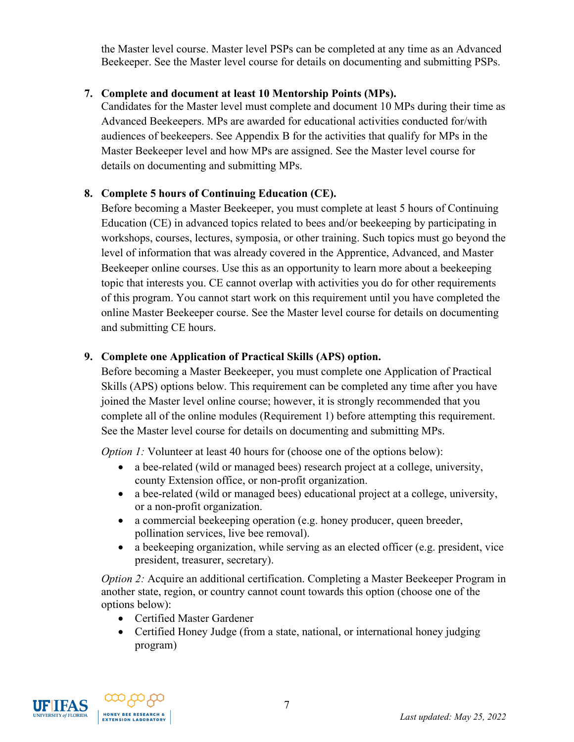the Master level course. Master level PSPs can be completed at any time as an Advanced Beekeeper. See the Master level course for details on documenting and submitting PSPs.

## <span id="page-6-1"></span>**7. Complete and document at least 10 Mentorship Points (MPs).**

Candidates for the Master level must complete and document 10 MPs during their time as Advanced Beekeepers. MPs are awarded for educational activities conducted for/with audiences of beekeepers. See Appendix B for the activities that qualify for MPs in the Master Beekeeper level and how MPs are assigned. See the Master level course for details on documenting and submitting MPs.

#### <span id="page-6-2"></span>**8. Complete 5 hours of Continuing Education (CE).**

Before becoming a Master Beekeeper, you must complete at least 5 hours of Continuing Education (CE) in advanced topics related to bees and/or beekeeping by participating in workshops, courses, lectures, symposia, or other training. Such topics must go beyond the level of information that was already covered in the Apprentice, Advanced, and Master Beekeeper online courses. Use this as an opportunity to learn more about a beekeeping topic that interests you. CE cannot overlap with activities you do for other requirements of this program. You cannot start work on this requirement until you have completed the online Master Beekeeper course. See the Master level course for details on documenting and submitting CE hours.

#### <span id="page-6-0"></span>**9. Complete one Application of Practical Skills (APS) option.**

Before becoming a Master Beekeeper, you must complete one Application of Practical Skills (APS) options below. This requirement can be completed any time after you have joined the Master level online course; however, it is strongly recommended that you complete all of the online modules (Requirement 1) before attempting this requirement. See the Master level course for details on documenting and submitting MPs.

*Option 1:* Volunteer at least 40 hours for (choose one of the options below):

- a bee-related (wild or managed bees) research project at a college, university, county Extension office, or non-profit organization.
- a bee-related (wild or managed bees) educational project at a college, university, or a non-profit organization.
- a commercial beekeeping operation (e.g. honey producer, queen breeder, pollination services, live bee removal).
- a beekeeping organization, while serving as an elected officer (e.g. president, vice president, treasurer, secretary).

*Option 2:* Acquire an additional certification. Completing a Master Beekeeper Program in another state, region, or country cannot count towards this option (choose one of the options below):

- Certified Master Gardener
- Certified Honey Judge (from a state, national, or international honey judging program)



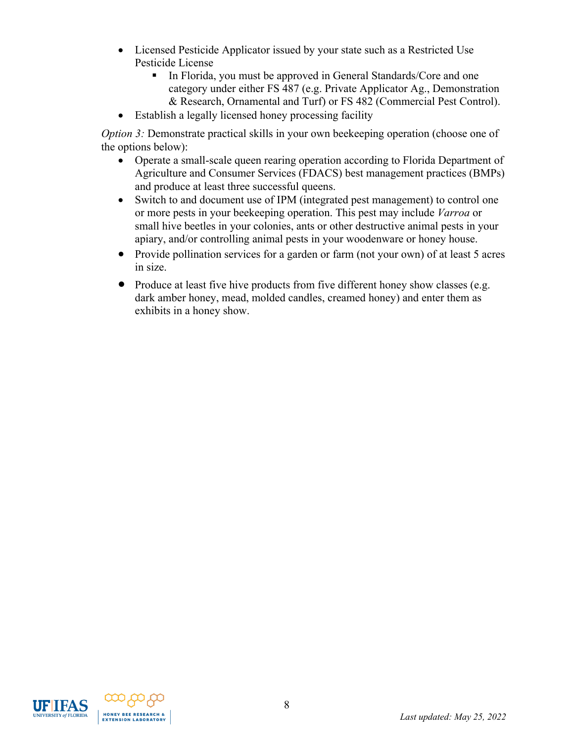- Licensed Pesticide Applicator issued by your state such as a Restricted Use Pesticide License
	- In Florida, you must be approved in General Standards/Core and one category under either FS 487 (e.g. Private Applicator Ag., Demonstration & Research, Ornamental and Turf) or FS 482 (Commercial Pest Control).
- Establish a legally licensed honey processing facility

*Option 3:* Demonstrate practical skills in your own beekeeping operation (choose one of the options below):

- Operate a small-scale queen rearing operation according to Florida Department of Agriculture and Consumer Services (FDACS) best management practices (BMPs) and produce at least three successful queens.
- Switch to and document use of IPM (integrated pest management) to control one or more pests in your beekeeping operation. This pest may include *Varroa* or small hive beetles in your colonies, ants or other destructive animal pests in your apiary, and/or controlling animal pests in your woodenware or honey house.
- Provide pollination services for a garden or farm (not your own) of at least 5 acres in size.
- Produce at least five hive products from five different honey show classes (e.g. dark amber honey, mead, molded candles, creamed honey) and enter them as exhibits in a honey show.



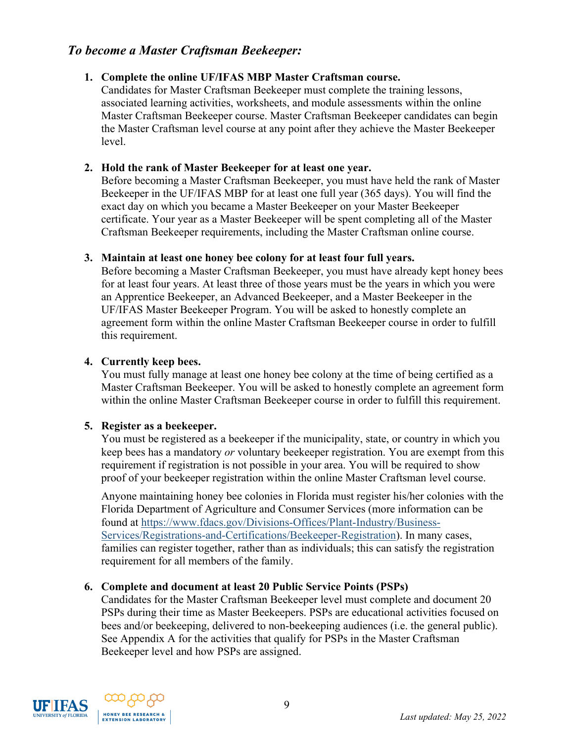## *To become a Master Craftsman Beekeeper:*

## <span id="page-8-0"></span>**1. Complete the online UF/IFAS MBP Master Craftsman course.**

Candidates for Master Craftsman Beekeeper must complete the training lessons, associated learning activities, worksheets, and module assessments within the online Master Craftsman Beekeeper course. Master Craftsman Beekeeper candidates can begin the Master Craftsman level course at any point after they achieve the Master Beekeeper level.

#### <span id="page-8-1"></span>**2. Hold the rank of Master Beekeeper for at least one year.**

Before becoming a Master Craftsman Beekeeper, you must have held the rank of Master Beekeeper in the UF/IFAS MBP for at least one full year (365 days). You will find the exact day on which you became a Master Beekeeper on your Master Beekeeper certificate. Your year as a Master Beekeeper will be spent completing all of the Master Craftsman Beekeeper requirements, including the Master Craftsman online course.

#### <span id="page-8-2"></span>**3. Maintain at least one honey bee colony for at least four full years.**

Before becoming a Master Craftsman Beekeeper, you must have already kept honey bees for at least four years. At least three of those years must be the years in which you were an Apprentice Beekeeper, an Advanced Beekeeper, and a Master Beekeeper in the UF/IFAS Master Beekeeper Program. You will be asked to honestly complete an agreement form within the online Master Craftsman Beekeeper course in order to fulfill this requirement.

#### <span id="page-8-3"></span>**4. Currently keep bees.**

You must fully manage at least one honey bee colony at the time of being certified as a Master Craftsman Beekeeper. You will be asked to honestly complete an agreement form within the online Master Craftsman Beekeeper course in order to fulfill this requirement.

#### <span id="page-8-4"></span>**5. Register as a beekeeper.**

You must be registered as a beekeeper if the municipality, state, or country in which you keep bees has a mandatory *or* voluntary beekeeper registration. You are exempt from this requirement if registration is not possible in your area. You will be required to show proof of your beekeeper registration within the online Master Craftsman level course.

Anyone maintaining honey bee colonies in Florida must register his/her colonies with the Florida Department of Agriculture and Consumer Services (more information can be found at https://www.fdacs.gov/Divisions-Offices/Plant-Industry/Business-Services/Registrations-and-Certifications/Beekeeper-Registration). In many cases, families can register together, rather than as individuals; this can satisfy the registration requirement for all members of the family.

#### <span id="page-8-5"></span>**6. Complete and document at least 20 Public Service Points (PSPs)**

Candidates for the Master Craftsman Beekeeper level must complete and document 20 PSPs during their time as Master Beekeepers. PSPs are educational activities focused on bees and/or beekeeping, delivered to non-beekeeping audiences (i.e. the general public). See Appendix A for the activities that qualify for PSPs in the Master Craftsman Beekeeper level and how PSPs are assigned.



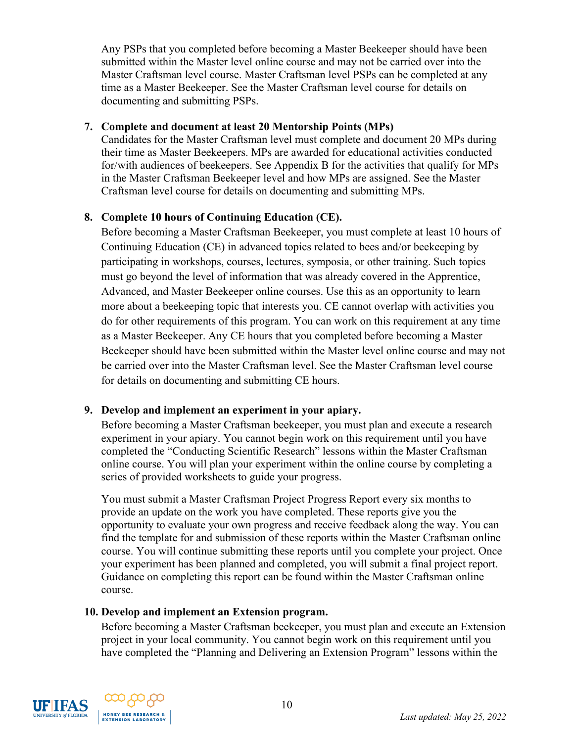Any PSPs that you completed before becoming a Master Beekeeper should have been submitted within the Master level online course and may not be carried over into the Master Craftsman level course. Master Craftsman level PSPs can be completed at any time as a Master Beekeeper. See the Master Craftsman level course for details on documenting and submitting PSPs.

#### <span id="page-9-0"></span>**7. Complete and document at least 20 Mentorship Points (MPs)**

Candidates for the Master Craftsman level must complete and document 20 MPs during their time as Master Beekeepers. MPs are awarded for educational activities conducted for/with audiences of beekeepers. See Appendix B for the activities that qualify for MPs in the Master Craftsman Beekeeper level and how MPs are assigned. See the Master Craftsman level course for details on documenting and submitting MPs.

## <span id="page-9-1"></span>**8. Complete 10 hours of Continuing Education (CE).**

Before becoming a Master Craftsman Beekeeper, you must complete at least 10 hours of Continuing Education (CE) in advanced topics related to bees and/or beekeeping by participating in workshops, courses, lectures, symposia, or other training. Such topics must go beyond the level of information that was already covered in the Apprentice, Advanced, and Master Beekeeper online courses. Use this as an opportunity to learn more about a beekeeping topic that interests you. CE cannot overlap with activities you do for other requirements of this program. You can work on this requirement at any time as a Master Beekeeper. Any CE hours that you completed before becoming a Master Beekeeper should have been submitted within the Master level online course and may not be carried over into the Master Craftsman level. See the Master Craftsman level course for details on documenting and submitting CE hours.

## <span id="page-9-2"></span>**9. Develop and implement an experiment in your apiary.**

Before becoming a Master Craftsman beekeeper, you must plan and execute a research experiment in your apiary. You cannot begin work on this requirement until you have completed the "Conducting Scientific Research" lessons within the Master Craftsman online course. You will plan your experiment within the online course by completing a series of provided worksheets to guide your progress.

You must submit a Master Craftsman Project Progress Report every six months to provide an update on the work you have completed. These reports give you the opportunity to evaluate your own progress and receive feedback along the way. You can find the template for and submission of these reports within the Master Craftsman online course. You will continue submitting these reports until you complete your project. Once your experiment has been planned and completed, you will submit a final project report. Guidance on completing this report can be found within the Master Craftsman online course.

#### <span id="page-9-3"></span>**10. Develop and implement an Extension program.**

Before becoming a Master Craftsman beekeeper, you must plan and execute an Extension project in your local community. You cannot begin work on this requirement until you have completed the "Planning and Delivering an Extension Program" lessons within the



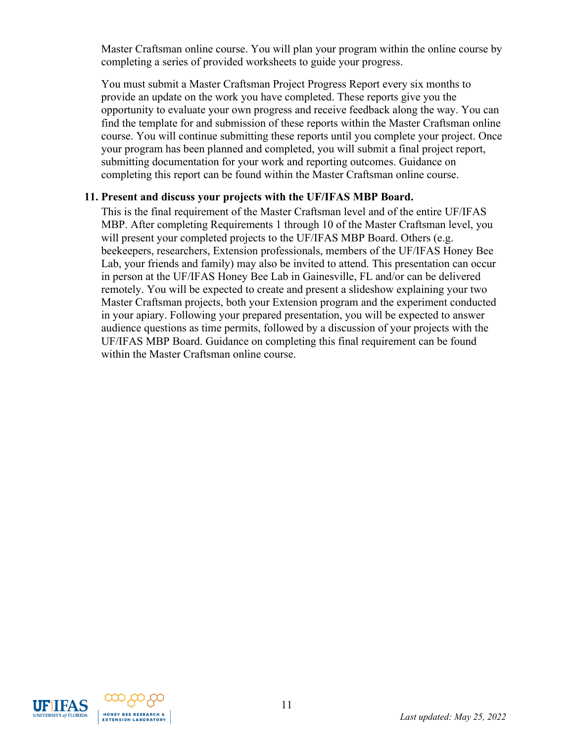Master Craftsman online course. You will plan your program within the online course by completing a series of provided worksheets to guide your progress.

You must submit a Master Craftsman Project Progress Report every six months to provide an update on the work you have completed. These reports give you the opportunity to evaluate your own progress and receive feedback along the way. You can find the template for and submission of these reports within the Master Craftsman online course. You will continue submitting these reports until you complete your project. Once your program has been planned and completed, you will submit a final project report, submitting documentation for your work and reporting outcomes. Guidance on completing this report can be found within the Master Craftsman online course.

#### <span id="page-10-0"></span>**11. Present and discuss your projects with the UF/IFAS MBP Board.**

This is the final requirement of the Master Craftsman level and of the entire UF/IFAS MBP. After completing Requirements 1 through 10 of the Master Craftsman level, you will present your completed projects to the UF/IFAS MBP Board. Others (e.g. beekeepers, researchers, Extension professionals, members of the UF/IFAS Honey Bee Lab, your friends and family) may also be invited to attend. This presentation can occur in person at the UF/IFAS Honey Bee Lab in Gainesville, FL and/or can be delivered remotely. You will be expected to create and present a slideshow explaining your two Master Craftsman projects, both your Extension program and the experiment conducted in your apiary. Following your prepared presentation, you will be expected to answer audience questions as time permits, followed by a discussion of your projects with the UF/IFAS MBP Board. Guidance on completing this final requirement can be found within the Master Craftsman online course.



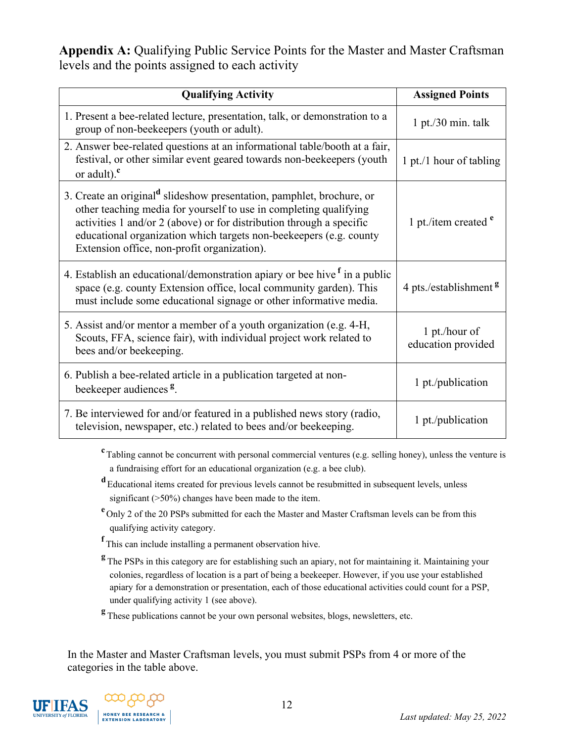**Appendix A:** Qualifying Public Service Points for the Master and Master Craftsman levels and the points assigned to each activity

| <b>Qualifying Activity</b>                                                                                                                                                                                                                                                                                                                          | <b>Assigned Points</b>              |
|-----------------------------------------------------------------------------------------------------------------------------------------------------------------------------------------------------------------------------------------------------------------------------------------------------------------------------------------------------|-------------------------------------|
| 1. Present a bee-related lecture, presentation, talk, or demonstration to a<br>group of non-beekeepers (youth or adult).                                                                                                                                                                                                                            | $1$ pt./30 min. talk                |
| 2. Answer bee-related questions at an informational table/booth at a fair,<br>festival, or other similar event geared towards non-beekeepers (youth<br>or adult). $\frac{c}{c}$                                                                                                                                                                     | 1 pt./1 hour of tabling             |
| 3. Create an original <sup>d</sup> slideshow presentation, pamphlet, brochure, or<br>other teaching media for yourself to use in completing qualifying<br>activities 1 and/or 2 (above) or for distribution through a specific<br>educational organization which targets non-beekeepers (e.g. county<br>Extension office, non-profit organization). | 1 pt./item created $e$              |
| 4. Establish an educational/demonstration apiary or bee hive <sup>f</sup> in a public<br>space (e.g. county Extension office, local community garden). This<br>must include some educational signage or other informative media.                                                                                                                    | 4 pts./establishment <sup>g</sup>   |
| 5. Assist and/or mentor a member of a youth organization (e.g. 4-H,<br>Scouts, FFA, science fair), with individual project work related to<br>bees and/or beekeeping.                                                                                                                                                                               | 1 pt./hour of<br>education provided |
| 6. Publish a bee-related article in a publication targeted at non-<br>beekeeper audiences <sup>g</sup> .                                                                                                                                                                                                                                            | 1 pt./publication                   |
| 7. Be interviewed for and/or featured in a published news story (radio,<br>television, newspaper, etc.) related to bees and/or beekeeping.                                                                                                                                                                                                          | 1 pt./publication                   |

**c** Tabling cannot be concurrent with personal commercial ventures (e.g. selling honey), unless the venture is a fundraising effort for an educational organization (e.g. a bee club).

**<sup>d</sup>**Educational items created for previous levels cannot be resubmitted in subsequent levels, unless significant (>50%) changes have been made to the item.

- **e** Only 2 of the 20 PSPs submitted for each the Master and Master Craftsman levels can be from this qualifying activity category.
- **f** This can include installing a permanent observation hive.
- **<sup>g</sup>** The PSPs in this category are for establishing such an apiary, not for maintaining it. Maintaining your colonies, regardless of location is a part of being a beekeeper. However, if you use your established apiary for a demonstration or presentation, each of those educational activities could count for a PSP, under qualifying activity 1 (see above).
- **<sup>g</sup>** These publications cannot be your own personal websites, blogs, newsletters, etc.

In the Master and Master Craftsman levels, you must submit PSPs from 4 or more of the categories in the table above.